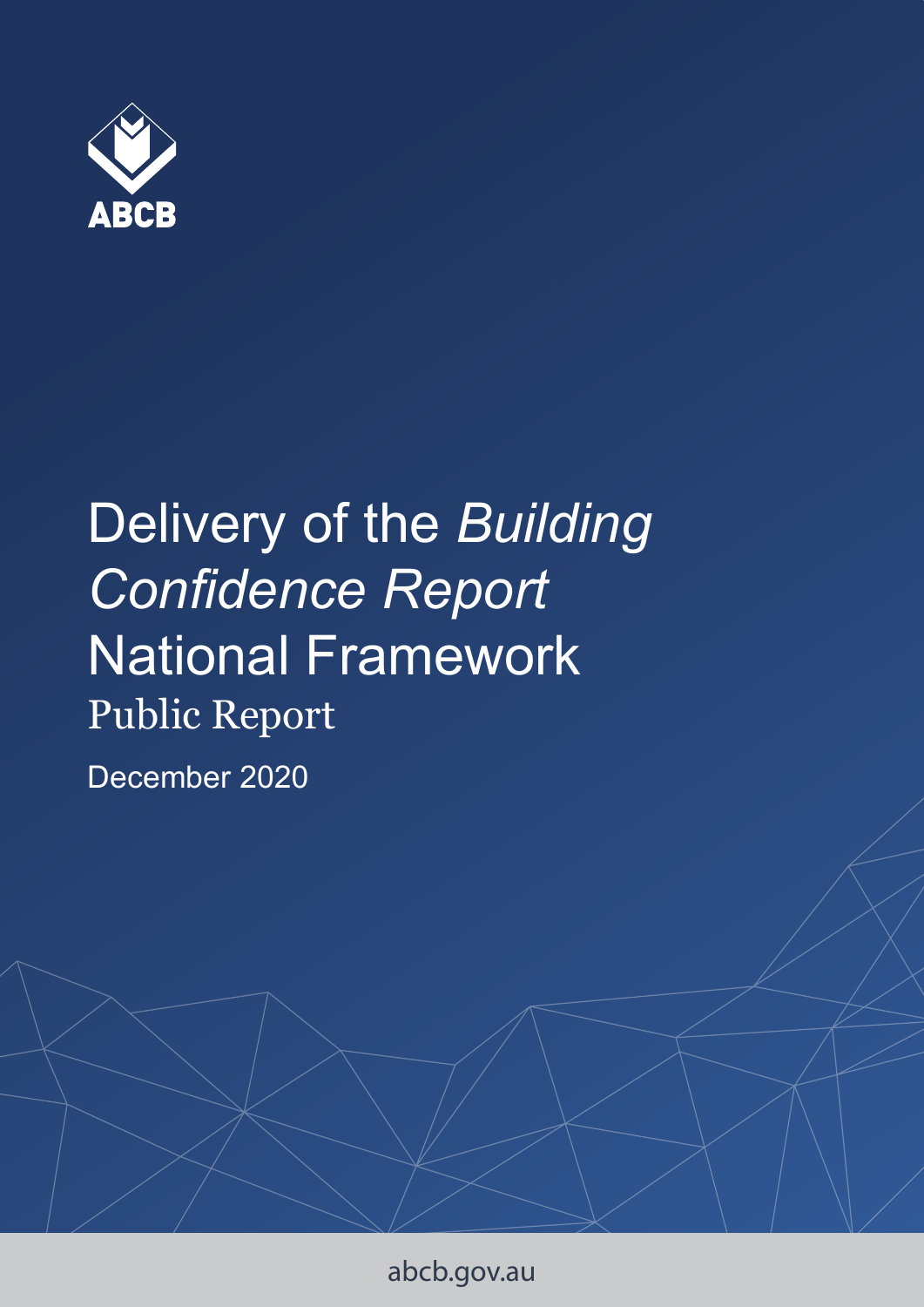

# Delivery of the *Building Confidence Report*  National Framework Public Report

December 2020

abcb.gov.au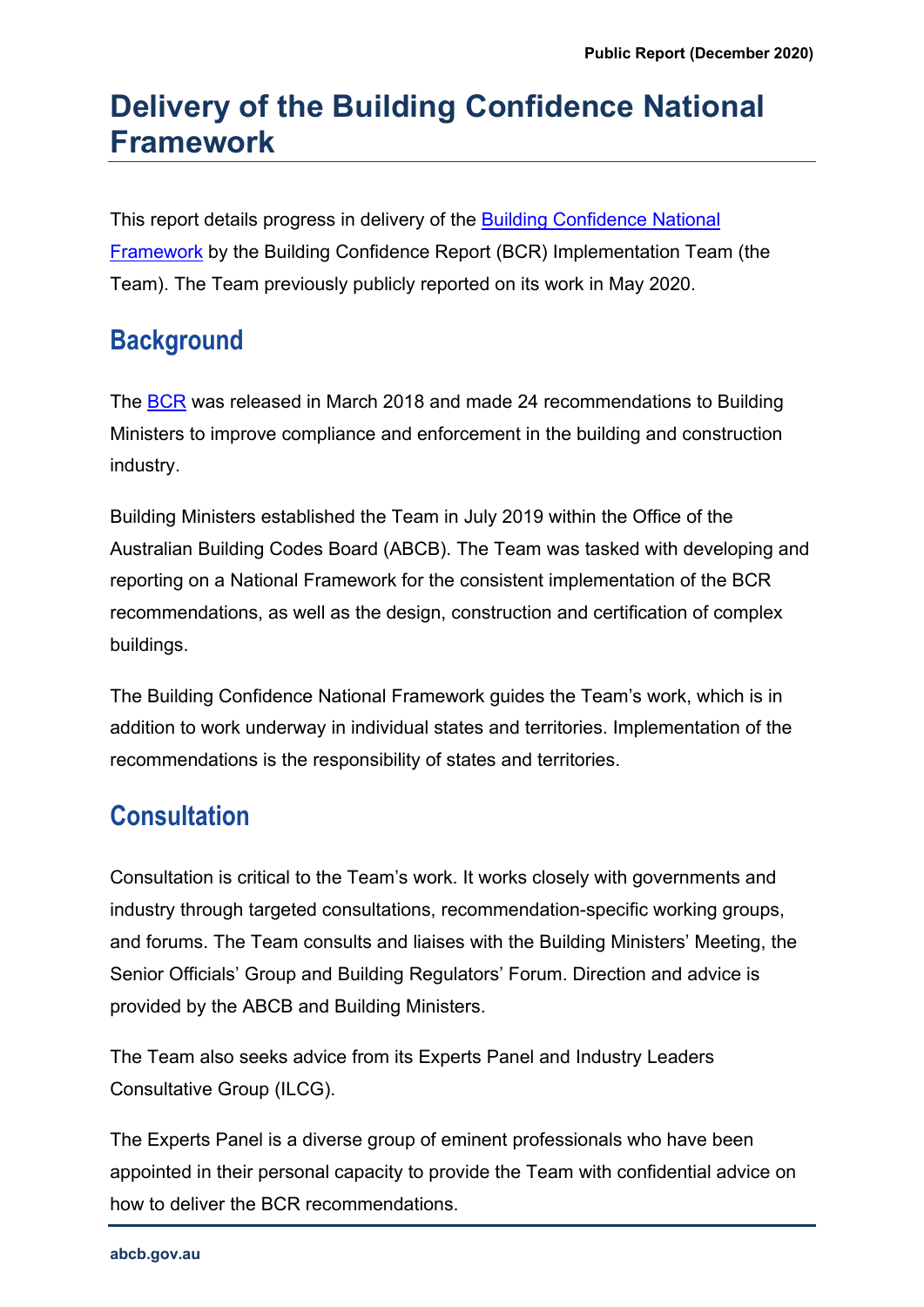# **Delivery of the Building Confidence National Framework**

This report details progress in delivery of the [Building Confidence National](https://www.abcb.gov.au/Resources/Publications/Corporate/Building-Confidence-National-Framework)  [Framework](https://www.abcb.gov.au/Resources/Publications/Corporate/Building-Confidence-National-Framework) by the Building Confidence Report (BCR) Implementation Team (the Team). The Team previously publicly reported on its work in May 2020.

## **Background**

The [BCR](https://www.industry.gov.au/sites/default/files/July%202018/document/pdf/building_ministers_forum_expert_assessment_-_building_confidence.pdf) was released in March 2018 and made 24 recommendations to Building Ministers to improve compliance and enforcement in the building and construction industry.

Building Ministers established the Team in July 2019 within the Office of the Australian Building Codes Board (ABCB). The Team was tasked with developing and reporting on a National Framework for the consistent implementation of the BCR recommendations, as well as the design, construction and certification of complex buildings.

The Building Confidence National Framework guides the Team's work, which is in addition to work underway in individual states and territories. Implementation of the recommendations is the responsibility of states and territories.

## **Consultation**

Consultation is critical to the Team's work. It works closely with governments and industry through targeted consultations, recommendation-specific working groups, and forums. The Team consults and liaises with the Building Ministers' Meeting, the Senior Officials' Group and Building Regulators' Forum. Direction and advice is provided by the ABCB and Building Ministers.

The Team also seeks advice from its Experts Panel and Industry Leaders Consultative Group (ILCG).

The Experts Panel is a diverse group of eminent professionals who have been appointed in their personal capacity to provide the Team with confidential advice on how to deliver the BCR recommendations.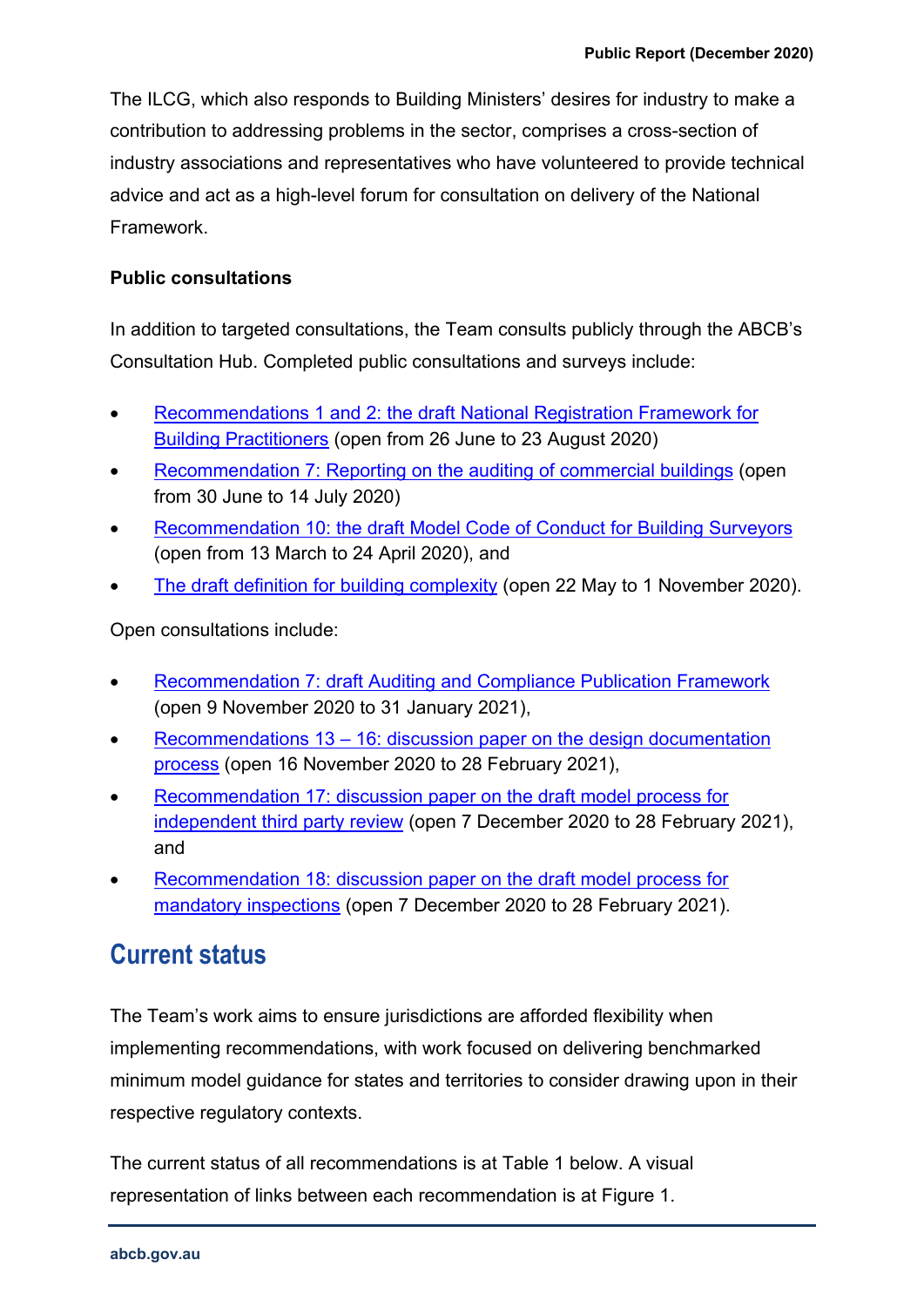The ILCG, which also responds to Building Ministers' desires for industry to make a contribution to addressing problems in the sector, comprises a cross-section of industry associations and representatives who have volunteered to provide technical advice and act as a high-level forum for consultation on delivery of the National Framework.

#### **Public consultations**

In addition to targeted consultations, the Team consults publicly through the ABCB's Consultation Hub. Completed public consultations and surveys include:

- [Recommendations 1 and 2: the draft National Registration Framework for](https://consultation.abcb.gov.au/engagement/dp-national-registration-framework/)  [Building Practitioners](https://consultation.abcb.gov.au/engagement/dp-national-registration-framework/) (open from 26 June to 23 August 2020)
- [Recommendation 7: Reporting on the auditing of commercial buildings](https://consultation.abcb.gov.au/engagement/reporting-on-the-auditing-of-commercial-buildings/) (open from 30 June to 14 July 2020)
- [Recommendation 10: the draft Model Code of Conduct for Building Surveyors](https://consultation.abcb.gov.au/engagement/discussion-paper-nmcoc-bs/) (open from 13 March to 24 April 2020), and
- [The draft definition for building complexity](https://consultation.abcb.gov.au/engagement/definition-for-building-complexity/) (open 22 May to 1 November 2020).

Open consultations include:

- [Recommendation 7: draft Auditing and Compliance Publication Framework](https://consultation.abcb.gov.au/engagement/auditing-and-compliance-publication-framework/) (open 9 November 2020 to 31 January 2021),
- Recommendations 13 16: discussion paper on the design documentation [process](https://consultation.abcb.gov.au/engagement/building-design-acceptance/) (open 16 November 2020 to 28 February 2021),
- [Recommendation 17: discussion paper on the draft model process for](https://consultation.abcb.gov.au/engagement/independent-third-party-review/)  [independent third party review](https://consultation.abcb.gov.au/engagement/independent-third-party-review/) (open 7 December 2020 to 28 February 2021), and
- [Recommendation 18: discussion paper on the draft model process for](https://consultation.abcb.gov.au/engagement/mandatory-inspections/)  [mandatory inspections](https://consultation.abcb.gov.au/engagement/mandatory-inspections/) (open 7 December 2020 to 28 February 2021).

### **Current status**

The Team's work aims to ensure jurisdictions are afforded flexibility when implementing recommendations, with work focused on delivering benchmarked minimum model guidance for states and territories to consider drawing upon in their respective regulatory contexts.

The current status of all recommendations is at Table 1 below. A visual representation of links between each recommendation is at Figure 1.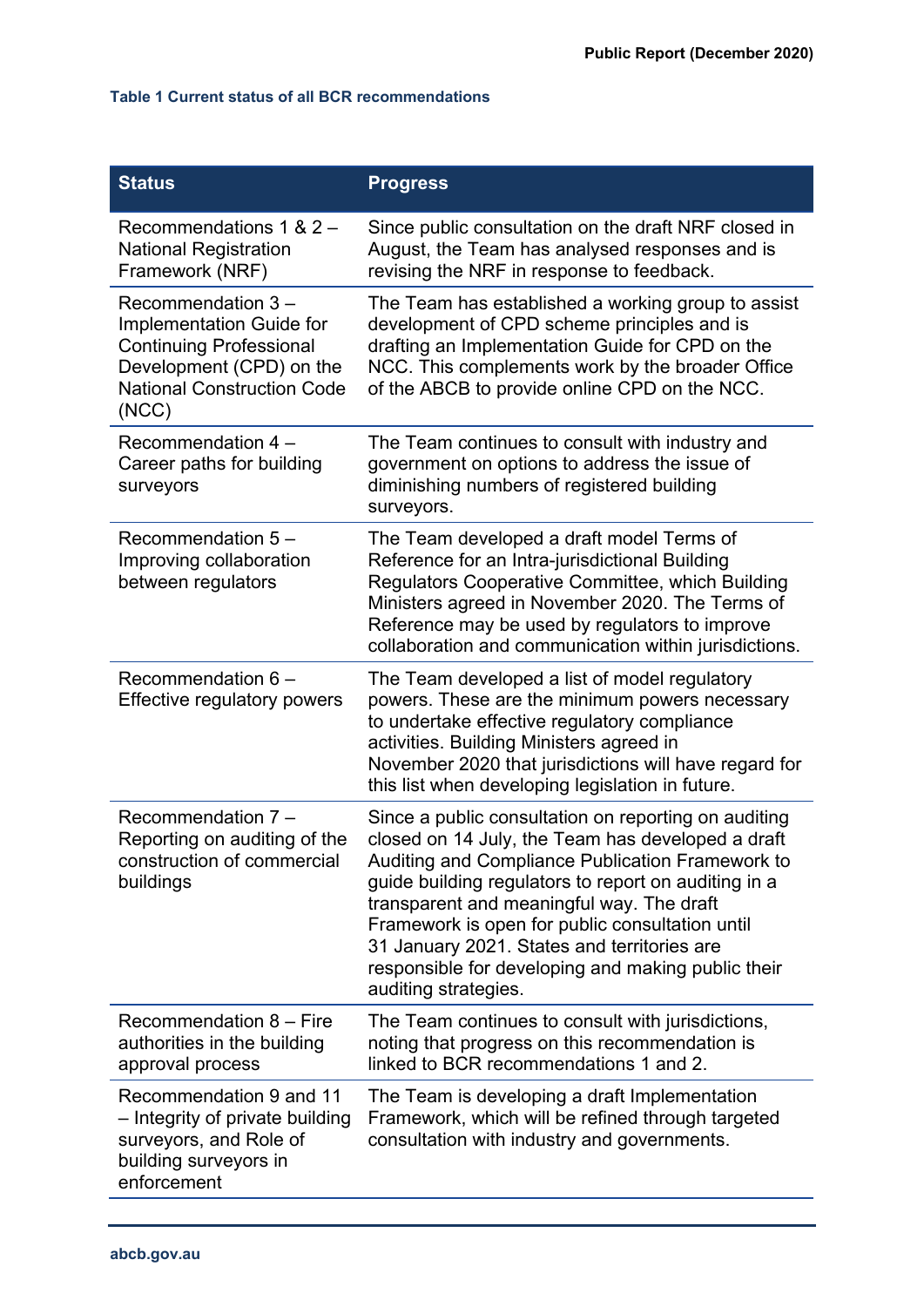#### **Table 1 Current status of all BCR recommendations**

| <b>Status</b>                                                                                                                                             | <b>Progress</b>                                                                                                                                                                                                                                                                                                                                                                                                                                    |
|-----------------------------------------------------------------------------------------------------------------------------------------------------------|----------------------------------------------------------------------------------------------------------------------------------------------------------------------------------------------------------------------------------------------------------------------------------------------------------------------------------------------------------------------------------------------------------------------------------------------------|
| Recommendations 1 & $2 -$<br><b>National Registration</b><br>Framework (NRF)                                                                              | Since public consultation on the draft NRF closed in<br>August, the Team has analysed responses and is<br>revising the NRF in response to feedback.                                                                                                                                                                                                                                                                                                |
| Recommendation 3-<br>Implementation Guide for<br><b>Continuing Professional</b><br>Development (CPD) on the<br><b>National Construction Code</b><br>(NCC) | The Team has established a working group to assist<br>development of CPD scheme principles and is<br>drafting an Implementation Guide for CPD on the<br>NCC. This complements work by the broader Office<br>of the ABCB to provide online CPD on the NCC.                                                                                                                                                                                          |
| Recommendation 4 -<br>Career paths for building<br>surveyors                                                                                              | The Team continues to consult with industry and<br>government on options to address the issue of<br>diminishing numbers of registered building<br>surveyors.                                                                                                                                                                                                                                                                                       |
| Recommendation 5 -<br>Improving collaboration<br>between regulators                                                                                       | The Team developed a draft model Terms of<br>Reference for an Intra-jurisdictional Building<br>Regulators Cooperative Committee, which Building<br>Ministers agreed in November 2020. The Terms of<br>Reference may be used by regulators to improve<br>collaboration and communication within jurisdictions.                                                                                                                                      |
| Recommendation 6 -<br><b>Effective regulatory powers</b>                                                                                                  | The Team developed a list of model regulatory<br>powers. These are the minimum powers necessary<br>to undertake effective regulatory compliance<br>activities. Building Ministers agreed in<br>November 2020 that jurisdictions will have regard for<br>this list when developing legislation in future.                                                                                                                                           |
| Recommendation 7 -<br>Reporting on auditing of the<br>construction of commercial<br>buildings                                                             | Since a public consultation on reporting on auditing<br>closed on 14 July, the Team has developed a draft<br>Auditing and Compliance Publication Framework to<br>guide building regulators to report on auditing in a<br>transparent and meaningful way. The draft<br>Framework is open for public consultation until<br>31 January 2021. States and territories are<br>responsible for developing and making public their<br>auditing strategies. |
| Recommendation 8 - Fire<br>authorities in the building<br>approval process                                                                                | The Team continues to consult with jurisdictions,<br>noting that progress on this recommendation is<br>linked to BCR recommendations 1 and 2.                                                                                                                                                                                                                                                                                                      |
| Recommendation 9 and 11<br>- Integrity of private building<br>surveyors, and Role of<br>building surveyors in<br>enforcement                              | The Team is developing a draft Implementation<br>Framework, which will be refined through targeted<br>consultation with industry and governments.                                                                                                                                                                                                                                                                                                  |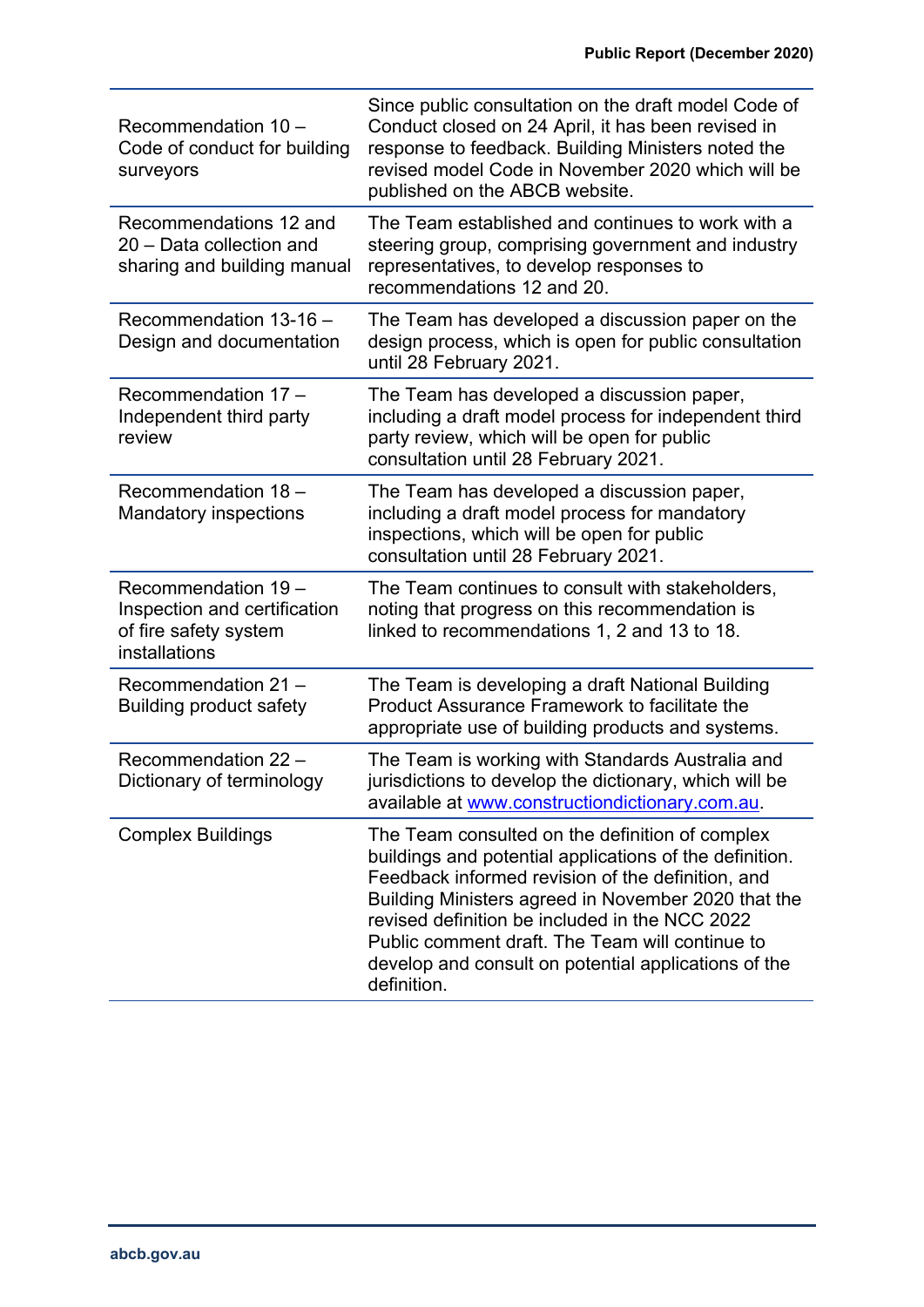| Recommendation 10 -<br>Code of conduct for building<br>surveyors                              | Since public consultation on the draft model Code of<br>Conduct closed on 24 April, it has been revised in<br>response to feedback. Building Ministers noted the<br>revised model Code in November 2020 which will be<br>published on the ABCB website.                                                                                                                                            |
|-----------------------------------------------------------------------------------------------|----------------------------------------------------------------------------------------------------------------------------------------------------------------------------------------------------------------------------------------------------------------------------------------------------------------------------------------------------------------------------------------------------|
| Recommendations 12 and<br>20 - Data collection and<br>sharing and building manual             | The Team established and continues to work with a<br>steering group, comprising government and industry<br>representatives, to develop responses to<br>recommendations 12 and 20.                                                                                                                                                                                                                  |
| Recommendation 13-16 -<br>Design and documentation                                            | The Team has developed a discussion paper on the<br>design process, which is open for public consultation<br>until 28 February 2021.                                                                                                                                                                                                                                                               |
| Recommendation 17 -<br>Independent third party<br>review                                      | The Team has developed a discussion paper,<br>including a draft model process for independent third<br>party review, which will be open for public<br>consultation until 28 February 2021.                                                                                                                                                                                                         |
| Recommendation 18 -<br><b>Mandatory inspections</b>                                           | The Team has developed a discussion paper,<br>including a draft model process for mandatory<br>inspections, which will be open for public<br>consultation until 28 February 2021.                                                                                                                                                                                                                  |
| Recommendation 19 -<br>Inspection and certification<br>of fire safety system<br>installations | The Team continues to consult with stakeholders,<br>noting that progress on this recommendation is<br>linked to recommendations 1, 2 and 13 to 18.                                                                                                                                                                                                                                                 |
| Recommendation 21 -<br><b>Building product safety</b>                                         | The Team is developing a draft National Building<br>Product Assurance Framework to facilitate the<br>appropriate use of building products and systems.                                                                                                                                                                                                                                             |
| Recommendation 22 -<br>Dictionary of terminology                                              | The Team is working with Standards Australia and<br>jurisdictions to develop the dictionary, which will be<br>available at www.constructiondictionary.com.au.                                                                                                                                                                                                                                      |
| <b>Complex Buildings</b>                                                                      | The Team consulted on the definition of complex<br>buildings and potential applications of the definition.<br>Feedback informed revision of the definition, and<br>Building Ministers agreed in November 2020 that the<br>revised definition be included in the NCC 2022<br>Public comment draft. The Team will continue to<br>develop and consult on potential applications of the<br>definition. |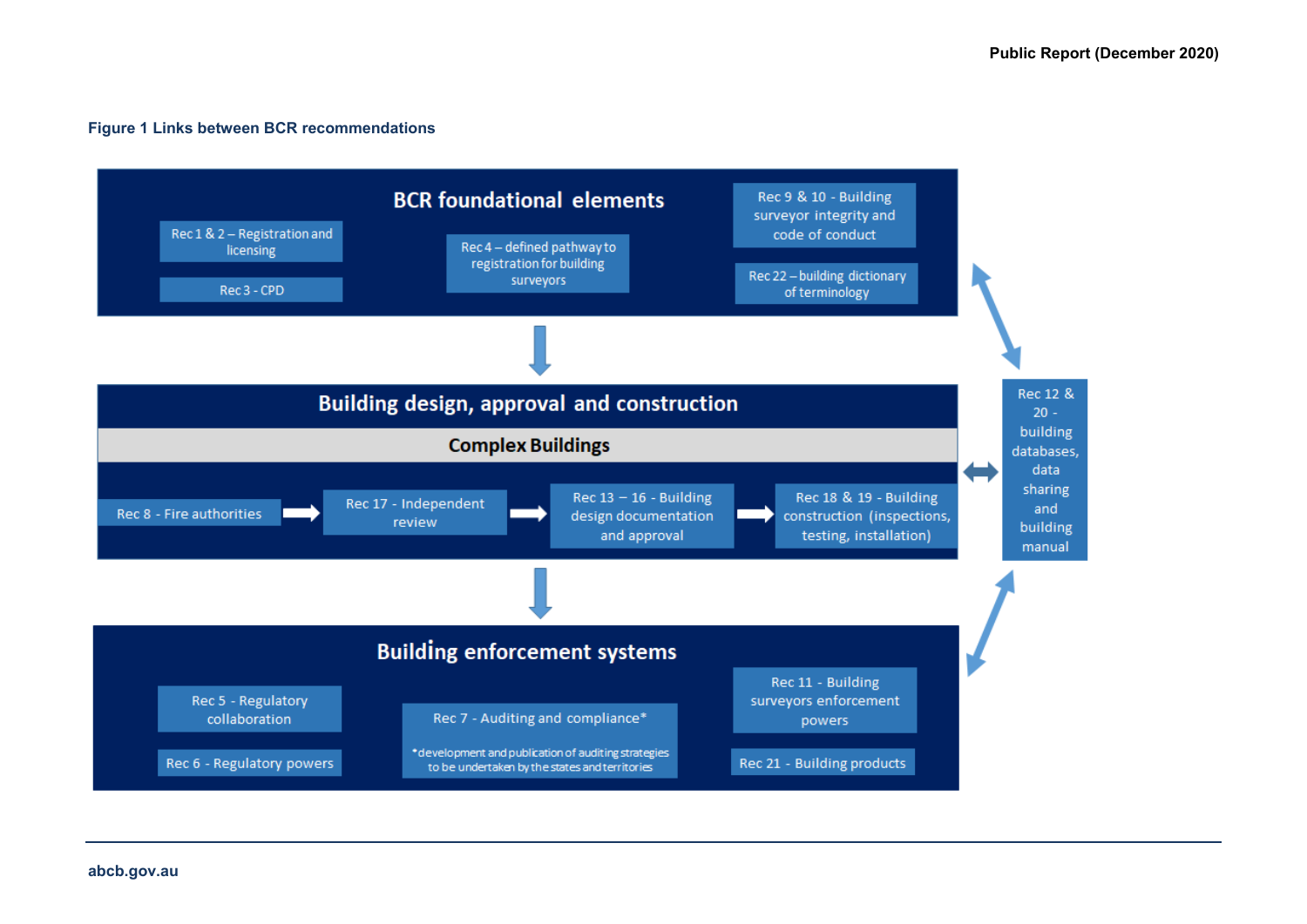#### **Figure 1 Links between BCR recommendations**